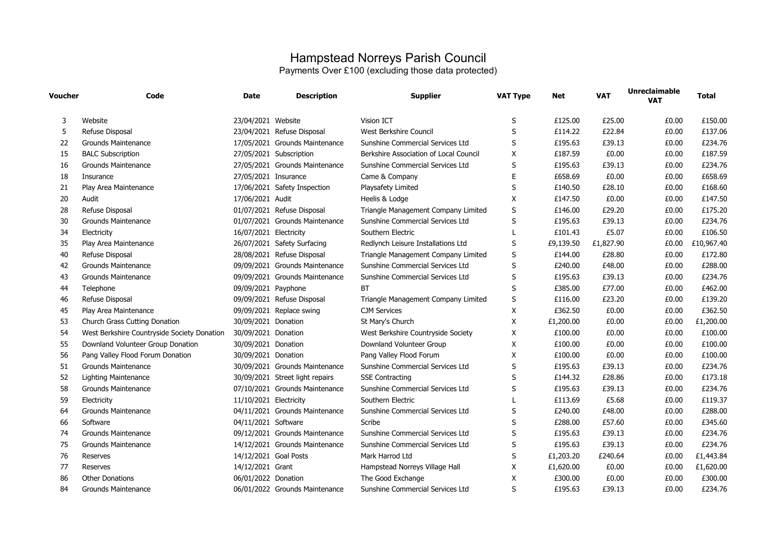## Hampstead Norreys Parish Council Payments Over £100 (excluding those data protected)

| Voucher | Code                                        | <b>Date</b>            | <b>Description</b>              | <b>Supplier</b>                        | <b>VAT Type</b> | <b>Net</b> | <b>VAT</b> | <b>Unreclaimable</b><br><b>VAT</b> | <b>Total</b> |
|---------|---------------------------------------------|------------------------|---------------------------------|----------------------------------------|-----------------|------------|------------|------------------------------------|--------------|
| 3       | Website                                     | 23/04/2021 Website     |                                 | <b>Vision ICT</b>                      | S               | £125.00    | £25.00     | £0.00                              | £150.00      |
| 5       | Refuse Disposal                             |                        | 23/04/2021 Refuse Disposal      | West Berkshire Council                 | S               | £114.22    | £22.84     | £0.00                              | £137.06      |
| 22      | Grounds Maintenance                         |                        | 17/05/2021 Grounds Maintenance  | Sunshine Commercial Services Ltd       | S               | £195.63    | £39.13     | £0.00                              | £234.76      |
| 15      | <b>BALC Subscription</b>                    |                        | 27/05/2021 Subscription         | Berkshire Association of Local Council | X               | £187.59    | £0.00      | £0.00                              | £187.59      |
| 16      | <b>Grounds Maintenance</b>                  |                        | 27/05/2021 Grounds Maintenance  | Sunshine Commercial Services Ltd       | S               | £195.63    | £39.13     | £0.00                              | £234.76      |
| 18      | Insurance                                   | 27/05/2021 Insurance   |                                 | Came & Company                         | E               | £658.69    | £0.00      | £0.00                              | £658.69      |
| 21      | Play Area Maintenance                       |                        | 17/06/2021 Safety Inspection    | Playsafety Limited                     | S               | £140.50    | £28.10     | £0.00                              | £168.60      |
| 20      | Audit                                       | 17/06/2021 Audit       |                                 | Heelis & Lodge                         | X               | £147.50    | £0.00      | £0.00                              | £147.50      |
| 28      | Refuse Disposal                             |                        | 01/07/2021 Refuse Disposal      | Triangle Management Company Limited    | S               | £146.00    | £29.20     | £0.00                              | £175.20      |
| 30      | <b>Grounds Maintenance</b>                  |                        | 01/07/2021 Grounds Maintenance  | Sunshine Commercial Services Ltd       | S               | £195.63    | £39.13     | £0.00                              | £234.76      |
| 34      | Electricity                                 | 16/07/2021 Electricity |                                 | Southern Electric                      |                 | £101.43    | £5.07      | £0.00                              | £106.50      |
| 35      | Play Area Maintenance                       |                        | 26/07/2021 Safety Surfacing     | Redlynch Leisure Installations Ltd     | S               | £9,139.50  | £1,827.90  | £0.00                              | £10,967.40   |
| 40      | Refuse Disposal                             |                        | 28/08/2021 Refuse Disposal      | Triangle Management Company Limited    | S               | £144.00    | £28.80     | £0.00                              | £172.80      |
| 42      | <b>Grounds Maintenance</b>                  |                        | 09/09/2021 Grounds Maintenance  | Sunshine Commercial Services Ltd       | S               | £240.00    | £48.00     | £0.00                              | £288.00      |
| 43      | Grounds Maintenance                         |                        | 09/09/2021 Grounds Maintenance  | Sunshine Commercial Services Ltd       | S               | £195.63    | £39.13     | £0.00                              | £234.76      |
| 44      | Telephone                                   | 09/09/2021 Payphone    |                                 | <b>BT</b>                              | S               | £385.00    | £77.00     | £0.00                              | £462.00      |
| 46      | Refuse Disposal                             |                        | 09/09/2021 Refuse Disposal      | Triangle Management Company Limited    | S               | £116.00    | £23.20     | £0.00                              | £139.20      |
| 45      | Play Area Maintenance                       |                        | 09/09/2021 Replace swing        | <b>CJM Services</b>                    | X               | £362.50    | £0.00      | £0.00                              | £362.50      |
| 53      | Church Grass Cutting Donation               | 30/09/2021 Donation    |                                 | St Mary's Church                       | X               | £1,200.00  | £0.00      | £0.00                              | £1,200.00    |
| 54      | West Berkshire Countryside Society Donation | 30/09/2021 Donation    |                                 | West Berkshire Countryside Society     | X               | £100.00    | £0.00      | £0.00                              | £100.00      |
| 55      | Downland Volunteer Group Donation           | 30/09/2021 Donation    |                                 | Downland Volunteer Group               | X               | £100.00    | £0.00      | £0.00                              | £100.00      |
| 56      | Pang Valley Flood Forum Donation            | 30/09/2021 Donation    |                                 | Pang Valley Flood Forum                | X               | £100.00    | £0.00      | £0.00                              | £100.00      |
| 51      | Grounds Maintenance                         |                        | 30/09/2021 Grounds Maintenance  | Sunshine Commercial Services Ltd       | S               | £195.63    | £39.13     | £0.00                              | £234.76      |
| 52      | <b>Lighting Maintenance</b>                 |                        | 30/09/2021 Street light repairs | <b>SSE Contracting</b>                 | S               | £144.32    | £28.86     | £0.00                              | £173.18      |
| 58      | <b>Grounds Maintenance</b>                  |                        | 07/10/2021 Grounds Maintenance  | Sunshine Commercial Services Ltd       | S               | £195.63    | £39.13     | £0.00                              | £234.76      |
| 59      | Electricity                                 | 11/10/2021 Electricity |                                 | Southern Electric                      | $\mathbf{L}$    | £113.69    | £5.68      | £0.00                              | £119.37      |
| 64      | Grounds Maintenance                         |                        | 04/11/2021 Grounds Maintenance  | Sunshine Commercial Services Ltd       | S               | £240.00    | £48.00     | £0.00                              | £288.00      |
| 66      | Software                                    | 04/11/2021 Software    |                                 | Scribe                                 | S               | £288.00    | £57.60     | £0.00                              | £345.60      |
| 74      | <b>Grounds Maintenance</b>                  |                        | 09/12/2021 Grounds Maintenance  | Sunshine Commercial Services Ltd       | S               | £195.63    | £39.13     | £0.00                              | £234.76      |
| 75      | <b>Grounds Maintenance</b>                  |                        | 14/12/2021 Grounds Maintenance  | Sunshine Commercial Services Ltd       | S               | £195.63    | £39.13     | £0.00                              | £234.76      |
| 76      | Reserves                                    | 14/12/2021 Goal Posts  |                                 | Mark Harrod Ltd                        | S               | £1,203.20  | £240.64    | £0.00                              | £1,443.84    |
| 77      | Reserves                                    | 14/12/2021 Grant       |                                 | Hampstead Norreys Village Hall         | $\times$        | £1,620.00  | £0.00      | £0.00                              | £1,620.00    |
| 86      | <b>Other Donations</b>                      | 06/01/2022 Donation    |                                 | The Good Exchange                      | X               | £300.00    | £0.00      | £0.00                              | £300.00      |
| 84      | Grounds Maintenance                         |                        | 06/01/2022 Grounds Maintenance  | Sunshine Commercial Services Ltd       | S               | £195.63    | £39.13     | £0.00                              | £234.76      |